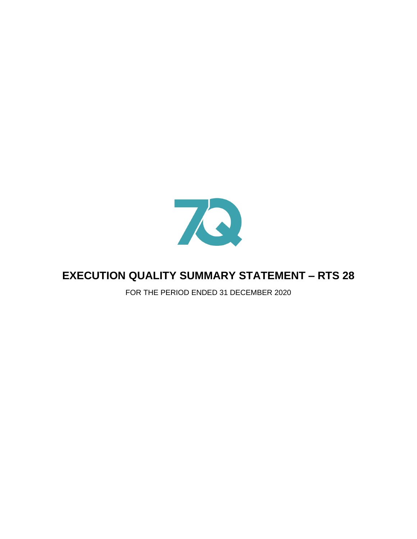

# **EXECUTION QUALITY SUMMARY STATEMENT – RTS 28**

FOR THE PERIOD ENDED 31 DECEMBER 2020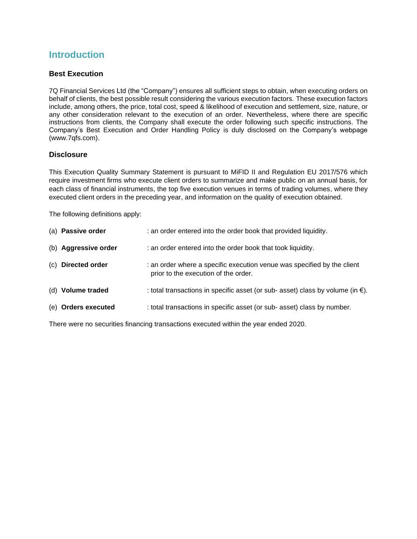# **Introduction**

### **Best Execution**

7Q Financial Services Ltd (the "Company") ensures all sufficient steps to obtain, when executing orders on behalf of clients, the best possible result considering the various execution factors. These execution factors include, among others, the price, total cost, speed & likelihood of execution and settlement, size, nature, or any other consideration relevant to the execution of an order. Nevertheless, where there are specific instructions from clients, the Company shall execute the order following such specific instructions. The Company's Best Execution and Order Handling Policy is duly disclosed on the Company's webpage (www.7qfs.com).

### **Disclosure**

This Execution Quality Summary Statement is pursuant to MiFID II and Regulation EU 2017/576 which require investment firms who execute client orders to summarize and make public on an annual basis, for each class of financial instruments, the top five execution venues in terms of trading volumes, where they executed client orders in the preceding year, and information on the quality of execution obtained.

The following definitions apply:

| (a) Passive order    | : an order entered into the order book that provided liquidity.                                                 |
|----------------------|-----------------------------------------------------------------------------------------------------------------|
| (b) Aggressive order | : an order entered into the order book that took liquidity.                                                     |
| (c) Directed order   | : an order where a specific execution venue was specified by the client<br>prior to the execution of the order. |
| (d) Volume traded    | : total transactions in specific asset (or sub- asset) class by volume (in $\epsilon$ ).                        |
| (e) Orders executed  | : total transactions in specific asset (or sub- asset) class by number.                                         |

There were no securities financing transactions executed within the year ended 2020.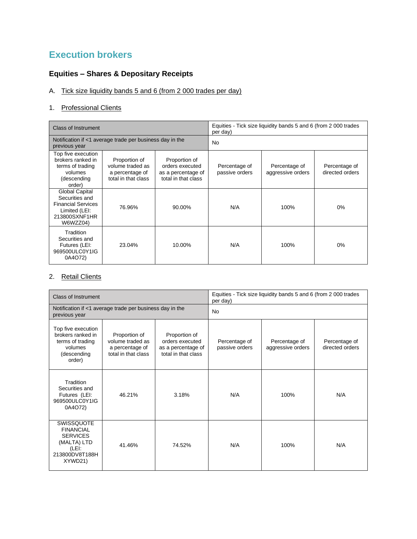# **Execution brokers**

# **Equities – Shares & Depositary Receipts**

# A. Tick size liquidity bands 5 and 6 (from 2 000 trades per day)

## 1. Professional Clients

| Class of Instrument                                                                                                |                                                                             |                                                                               | Equities - Tick size liquidity bands 5 and 6 (from 2 000 trades<br>per day) |                                    |                                  |
|--------------------------------------------------------------------------------------------------------------------|-----------------------------------------------------------------------------|-------------------------------------------------------------------------------|-----------------------------------------------------------------------------|------------------------------------|----------------------------------|
| Notification if <1 average trade per business day in the<br>previous year                                          |                                                                             |                                                                               | <b>No</b>                                                                   |                                    |                                  |
| Top five execution<br>brokers ranked in<br>terms of trading<br>volumes<br>(descending<br>order)                    | Proportion of<br>volume traded as<br>a percentage of<br>total in that class | Proportion of<br>orders executed<br>as a percentage of<br>total in that class | Percentage of<br>passive orders                                             | Percentage of<br>aggressive orders | Percentage of<br>directed orders |
| <b>Global Capital</b><br>Securities and<br><b>Financial Services</b><br>Limited (LEI:<br>213800SXNF1HR<br>W6WZZ04) | 76.96%                                                                      | 90.00%                                                                        | N/A                                                                         | 100%                               | 0%                               |
| Tradition<br>Securities and<br>Futures (LEI:<br>969500ULC0Y1IG<br>0A4O72)                                          | 23.04%                                                                      | 10.00%                                                                        | N/A                                                                         | 100%                               | 0%                               |

# 2. Retail Clients

| Class of Instrument                                                                                    |                                                                             |                                                                               | Equities - Tick size liquidity bands 5 and 6 (from 2 000 trades<br>per day) |                                    |                                  |
|--------------------------------------------------------------------------------------------------------|-----------------------------------------------------------------------------|-------------------------------------------------------------------------------|-----------------------------------------------------------------------------|------------------------------------|----------------------------------|
| Notification if <1 average trade per business day in the<br>previous year                              |                                                                             |                                                                               | <b>No</b>                                                                   |                                    |                                  |
| Top five execution<br>brokers ranked in<br>terms of trading<br>volumes<br>(descending<br>order)        | Proportion of<br>volume traded as<br>a percentage of<br>total in that class | Proportion of<br>orders executed<br>as a percentage of<br>total in that class | Percentage of<br>passive orders                                             | Percentage of<br>aggressive orders | Percentage of<br>directed orders |
| Tradition<br>Securities and<br>Futures (LEI:<br>969500ULC0Y1IG<br>0A4O72)                              | 46.21%                                                                      | 3.18%                                                                         | N/A                                                                         | 100%                               | N/A                              |
| SWISSQUOTE<br><b>FINANCIAL</b><br><b>SERVICES</b><br>(MALTA) LTD<br>(LEI:<br>213800DV8T188H<br>XYWD21) | 41.46%                                                                      | 74.52%                                                                        | N/A                                                                         | 100%                               | N/A                              |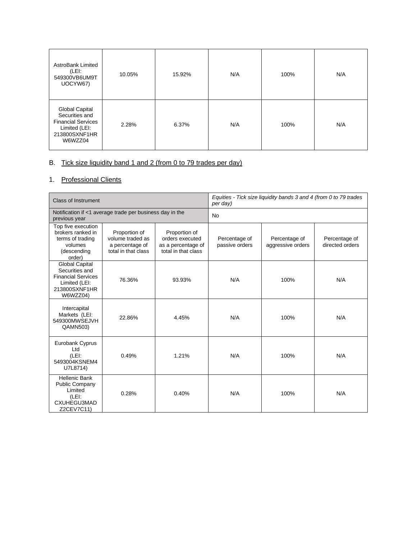| <b>AstroBank Limited</b><br>(LEI:<br>549300VB6UM9T<br>UOCYW67)                                             | 10.05% | 15.92% | N/A | 100% | N/A |
|------------------------------------------------------------------------------------------------------------|--------|--------|-----|------|-----|
| Global Capital<br>Securities and<br><b>Financial Services</b><br>Limited (LEI:<br>213800SXNF1HR<br>W6WZZ04 | 2.28%  | 6.37%  | N/A | 100% | N/A |

## B. Tick size liquidity band 1 and 2 (from 0 to 79 trades per day)

## 1. Professional Clients

| Class of Instrument                                                                                                |                                                                             |                                                                               | Equities - Tick size liquidity bands 3 and 4 (from 0 to 79 trades<br>per day) |                                    |                                  |
|--------------------------------------------------------------------------------------------------------------------|-----------------------------------------------------------------------------|-------------------------------------------------------------------------------|-------------------------------------------------------------------------------|------------------------------------|----------------------------------|
| Notification if <1 average trade per business day in the<br>previous year                                          |                                                                             |                                                                               | <b>No</b>                                                                     |                                    |                                  |
| Top five execution<br>brokers ranked in<br>terms of trading<br>volumes<br>(descending<br>order)                    | Proportion of<br>volume traded as<br>a percentage of<br>total in that class | Proportion of<br>orders executed<br>as a percentage of<br>total in that class | Percentage of<br>passive orders                                               | Percentage of<br>aggressive orders | Percentage of<br>directed orders |
| <b>Global Capital</b><br>Securities and<br><b>Financial Services</b><br>Limited (LEI:<br>213800SXNF1HR<br>W6WZZ04) | 76.36%                                                                      | 93.93%                                                                        | N/A                                                                           | 100%                               | N/A                              |
| Intercapital<br>Markets (LEI:<br>549300MWSEJVH<br>QAMN503)                                                         | 22.86%                                                                      | 4.45%                                                                         | N/A                                                                           | 100%                               | N/A                              |
| Eurobank Cyprus<br>Ltd<br>(LEI:<br>5493004KSNEM4<br>U7L8714)                                                       | 0.49%                                                                       | 1.21%                                                                         | N/A                                                                           | 100%                               | N/A                              |
| <b>Hellenic Bank</b><br><b>Public Company</b><br>Limited<br>(LEI:<br>CXUHEGU3MAD<br>Z2CEV7C11)                     | 0.28%                                                                       | 0.40%                                                                         | N/A                                                                           | 100%                               | N/A                              |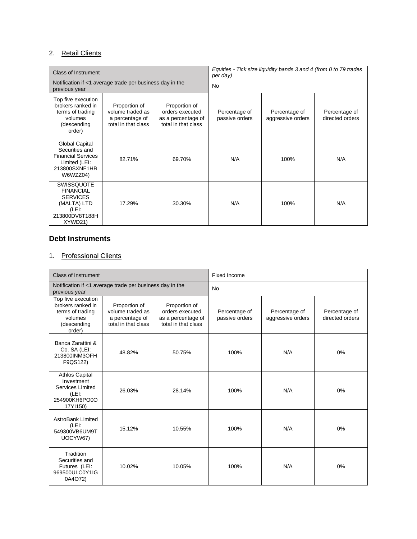## 2. Retail Clients

| <b>Class of Instrument</b>                                                                                         |                                                                             |                                                                               | Equities - Tick size liquidity bands 3 and 4 (from 0 to 79 trades<br>per day) |                                    |                                  |  |
|--------------------------------------------------------------------------------------------------------------------|-----------------------------------------------------------------------------|-------------------------------------------------------------------------------|-------------------------------------------------------------------------------|------------------------------------|----------------------------------|--|
| Notification if <1 average trade per business day in the<br>previous year                                          |                                                                             |                                                                               | <b>No</b>                                                                     |                                    |                                  |  |
| Top five execution<br>brokers ranked in<br>terms of trading<br>volumes<br>(descending<br>order)                    | Proportion of<br>volume traded as<br>a percentage of<br>total in that class | Proportion of<br>orders executed<br>as a percentage of<br>total in that class | Percentage of<br>passive orders                                               | Percentage of<br>aggressive orders | Percentage of<br>directed orders |  |
| <b>Global Capital</b><br>Securities and<br><b>Financial Services</b><br>Limited (LEI:<br>213800SXNF1HR<br>W6WZZ04) | 82.71%                                                                      | 69.70%                                                                        | N/A                                                                           | 100%                               | N/A                              |  |
| <b>SWISSQUOTE</b><br><b>FINANCIAL</b><br><b>SERVICES</b><br>(MALTA) LTD<br>(LEI:<br>213800DV8T188H<br>XYWD21)      | 17.29%                                                                      | 30.30%                                                                        | N/A                                                                           | 100%                               | N/A                              |  |

## **Debt Instruments**

## 1. Professional Clients

| <b>Class of Instrument</b>                                                                        |                                                                             |                                                                               | Fixed Income                    |                                    |                                  |
|---------------------------------------------------------------------------------------------------|-----------------------------------------------------------------------------|-------------------------------------------------------------------------------|---------------------------------|------------------------------------|----------------------------------|
| Notification if <1 average trade per business day in the<br>previous year                         |                                                                             |                                                                               | <b>No</b>                       |                                    |                                  |
| Top five execution<br>brokers ranked in<br>terms of trading<br>volumes<br>(descending<br>order)   | Proportion of<br>volume traded as<br>a percentage of<br>total in that class | Proportion of<br>orders executed<br>as a percentage of<br>total in that class | Percentage of<br>passive orders | Percentage of<br>aggressive orders | Percentage of<br>directed orders |
| Banca Zarattini &<br>Co. SA (LEI:<br>213800INM3OFH<br>F9QS122)                                    | 48.82%                                                                      | 50.75%                                                                        | 100%                            | N/A                                | 0%                               |
| <b>Athlos Capital</b><br>Investment<br>Services Limited<br>$(LEI)$ :<br>254900KH6PO0O<br>17YI150) | 26.03%                                                                      | 28.14%                                                                        | 100%                            | N/A                                | 0%                               |
| <b>AstroBank Limited</b><br>$(LEI)$ :<br>549300VB6UM9T<br>UOCYW67)                                | 15.12%                                                                      | 10.55%                                                                        | 100%                            | N/A                                | 0%                               |
| Tradition<br>Securities and<br>Futures (LEI:<br>969500ULC0Y1IG<br>0A4O72)                         | 10.02%                                                                      | 10.05%                                                                        | 100%                            | N/A                                | 0%                               |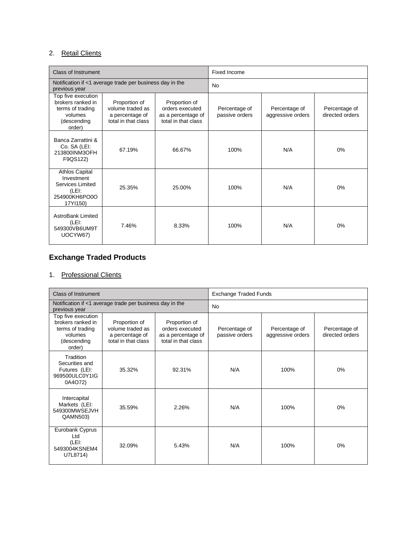## 2. Retail Clients

| <b>Class of Instrument</b>                                                                      |                                                                             |                                                                               | Fixed Income                    |                                    |                                  |
|-------------------------------------------------------------------------------------------------|-----------------------------------------------------------------------------|-------------------------------------------------------------------------------|---------------------------------|------------------------------------|----------------------------------|
| Notification if <1 average trade per business day in the<br>previous year                       |                                                                             |                                                                               | <b>No</b>                       |                                    |                                  |
| Top five execution<br>brokers ranked in<br>terms of trading<br>volumes<br>(descending<br>order) | Proportion of<br>volume traded as<br>a percentage of<br>total in that class | Proportion of<br>orders executed<br>as a percentage of<br>total in that class | Percentage of<br>passive orders | Percentage of<br>aggressive orders | Percentage of<br>directed orders |
| Banca Zarrattini &<br>Co. SA (LEI:<br>213800INM3OFH<br>F9QS122)                                 | 67.19%                                                                      | 66.67%                                                                        | 100%                            | N/A                                | 0%                               |
| <b>Athlos Capital</b><br>Investment<br>Services Limited<br>(LEI:<br>254900KH6PO0O<br>17YI150)   | 25.35%                                                                      | 25.00%                                                                        | 100%                            | N/A                                | $0\%$                            |
| AstroBank Limited<br>(LEI:<br>549300VB6UM9T<br>UOCYW67)                                         | 7.46%                                                                       | 8.33%                                                                         | 100%                            | N/A                                | 0%                               |

# **Exchange Traded Products**

# 1. Professional Clients

| <b>Class of Instrument</b>                                                                      |                                                                             |                                                                               | <b>Exchange Traded Funds</b>    |                                    |                                  |
|-------------------------------------------------------------------------------------------------|-----------------------------------------------------------------------------|-------------------------------------------------------------------------------|---------------------------------|------------------------------------|----------------------------------|
| Notification if <1 average trade per business day in the<br>previous year                       |                                                                             |                                                                               | <b>No</b>                       |                                    |                                  |
| Top five execution<br>brokers ranked in<br>terms of trading<br>volumes<br>(descending<br>order) | Proportion of<br>volume traded as<br>a percentage of<br>total in that class | Proportion of<br>orders executed<br>as a percentage of<br>total in that class | Percentage of<br>passive orders | Percentage of<br>aggressive orders | Percentage of<br>directed orders |
| Tradition<br>Securities and<br>Futures (LEI:<br>969500ULC0Y1IG<br>0A4O72)                       | 35.32%                                                                      | 92.31%                                                                        | N/A                             | 100%                               | 0%                               |
| Intercapital<br>Markets (LEI:<br>549300MWSEJVH<br>QAMN503)                                      | 35.59%                                                                      | 2.26%                                                                         | N/A                             | 100%                               | 0%                               |
| Eurobank Cyprus<br>Ltd<br>(LEI:<br>5493004KSNEM4<br>U7L8714)                                    | 32.09%                                                                      | 5.43%                                                                         | N/A                             | 100%                               | 0%                               |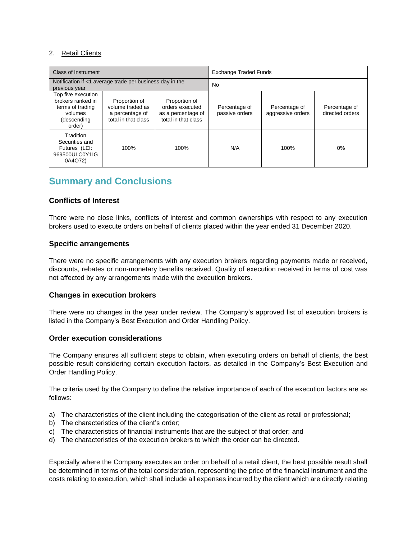#### 2. Retail Clients

| <b>Class of Instrument</b>                                                                                                                                                                                                                                      |      |                                 | <b>Exchange Traded Funds</b>       |                                  |       |
|-----------------------------------------------------------------------------------------------------------------------------------------------------------------------------------------------------------------------------------------------------------------|------|---------------------------------|------------------------------------|----------------------------------|-------|
| Notification if <1 average trade per business day in the<br>previous year                                                                                                                                                                                       |      |                                 | <b>No</b>                          |                                  |       |
| Top five execution<br>brokers ranked in<br>Proportion of<br>Proportion of<br>volume traded as<br>orders executed<br>terms of trading<br>as a percentage of<br>volumes<br>a percentage of<br>total in that class<br>total in that class<br>(descending<br>order) |      | Percentage of<br>passive orders | Percentage of<br>aggressive orders | Percentage of<br>directed orders |       |
| Tradition<br>Securities and<br>Futures (LEI:<br>969500ULC0Y1IG<br>0A4O72)                                                                                                                                                                                       | 100% | 100%                            | N/A                                | 100%                             | $0\%$ |

# **Summary and Conclusions**

#### **Conflicts of Interest**

There were no close links, conflicts of interest and common ownerships with respect to any execution brokers used to execute orders on behalf of clients placed within the year ended 31 December 2020.

#### **Specific arrangements**

There were no specific arrangements with any execution brokers regarding payments made or received, discounts, rebates or non-monetary benefits received. Quality of execution received in terms of cost was not affected by any arrangements made with the execution brokers.

#### **Changes in execution brokers**

There were no changes in the year under review. The Company's approved list of execution brokers is listed in the Company's Best Execution and Order Handling Policy.

#### **Order execution considerations**

The Company ensures all sufficient steps to obtain, when executing orders on behalf of clients, the best possible result considering certain execution factors, as detailed in the Company's Best Execution and Order Handling Policy.

The criteria used by the Company to define the relative importance of each of the execution factors are as follows:

- a) The characteristics of the client including the categorisation of the client as retail or professional;
- b) The characteristics of the client's order;
- c) The characteristics of financial instruments that are the subject of that order; and
- d) The characteristics of the execution brokers to which the order can be directed.

Especially where the Company executes an order on behalf of a retail client, the best possible result shall be determined in terms of the total consideration, representing the price of the financial instrument and the costs relating to execution, which shall include all expenses incurred by the client which are directly relating